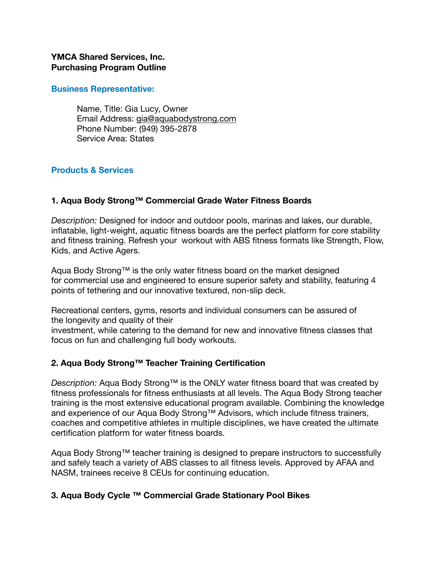#### **YMCA Shared Services, Inc. Purchasing Program Outline**

**Business Representative:** 

Name, Title: Gia Lucy, Owner Email Address: [gia@aquabodystrong.com](mailto:gia@aquabodystrong.com) Phone Number: (949) 395-2878 Service Area: States

### **Products & Services**

### **1. Aqua Body Strong™ Commercial Grade Water Fitness Boards**

*Description:* Designed for indoor and outdoor pools, marinas and lakes, our durable, inflatable, light-weight, aquatic fitness boards are the perfect platform for core stability and fitness training. Refresh your workout with ABS fitness formats like Strength, Flow, Kids, and Active Agers.

Aqua Body Strong™ is the only water fitness board on the market designed for commercial use and engineered to ensure superior safety and stability, featuring 4 points of tethering and our innovative textured, non-slip deck.

Recreational centers, gyms, resorts and individual consumers can be assured of the longevity and quality of their

investment, while catering to the demand for new and innovative fitness classes that focus on fun and challenging full body workouts.

#### **2. Aqua Body Strong™ Teacher Training Certification**

*Description:* Aqua Body Strong™ is the ONLY water fitness board that was created by fitness professionals for fitness enthusiasts at all levels. The Aqua Body Strong teacher training is the most extensive educational program available. Combining the knowledge and experience of our Aqua Body Strong™ Advisors, which include fitness trainers, coaches and competitive athletes in multiple disciplines, we have created the ultimate certification platform for water fitness boards.

Aqua Body Strong™ teacher training is designed to prepare instructors to successfully and safely teach a variety of ABS classes to all fitness levels. Approved by AFAA and NASM, trainees receive 8 CEUs for continuing education.

## **3. Aqua Body Cycle ™ Commercial Grade Stationary Pool Bikes**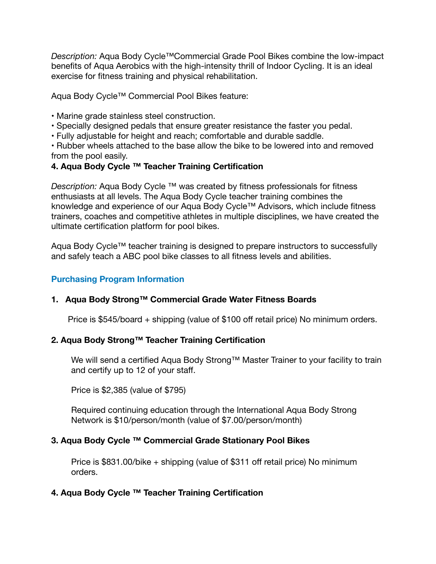*Description:* Aqua Body Cycle™Commercial Grade Pool Bikes combine the low-impact benefits of Aqua Aerobics with the high-intensity thrill of Indoor Cycling. It is an ideal exercise for fitness training and physical rehabilitation.

Aqua Body Cycle™ Commercial Pool Bikes feature:

- Marine grade stainless steel construction.
- Specially designed pedals that ensure greater resistance the faster you pedal.
- Fully adjustable for height and reach; comfortable and durable saddle.

• Rubber wheels attached to the base allow the bike to be lowered into and removed from the pool easily.

## **4. Aqua Body Cycle ™ Teacher Training Certification**

*Description:* Aqua Body Cycle ™ was created by fitness professionals for fitness enthusiasts at all levels. The Aqua Body Cycle teacher training combines the knowledge and experience of our Aqua Body Cycle™ Advisors, which include fitness trainers, coaches and competitive athletes in multiple disciplines, we have created the ultimate certification platform for pool bikes.

Aqua Body Cycle™ teacher training is designed to prepare instructors to successfully and safely teach a ABC pool bike classes to all fitness levels and abilities.

# **Purchasing Program Information**

## **1. Aqua Body Strong™ Commercial Grade Water Fitness Boards**

Price is \$545/board + shipping (value of \$100 off retail price) No minimum orders.

## **2. Aqua Body Strong™ Teacher Training Certification**

We will send a certified Aqua Body Strong™ Master Trainer to your facility to train and certify up to 12 of your staff.

Price is \$2,385 (value of \$795)

Required continuing education through the International Aqua Body Strong Network is \$10/person/month (value of \$7.00/person/month)

## **3. Aqua Body Cycle ™ Commercial Grade Stationary Pool Bikes**

Price is \$831.00/bike + shipping (value of \$311 off retail price) No minimum orders.

## **4. Aqua Body Cycle ™ Teacher Training Certification**